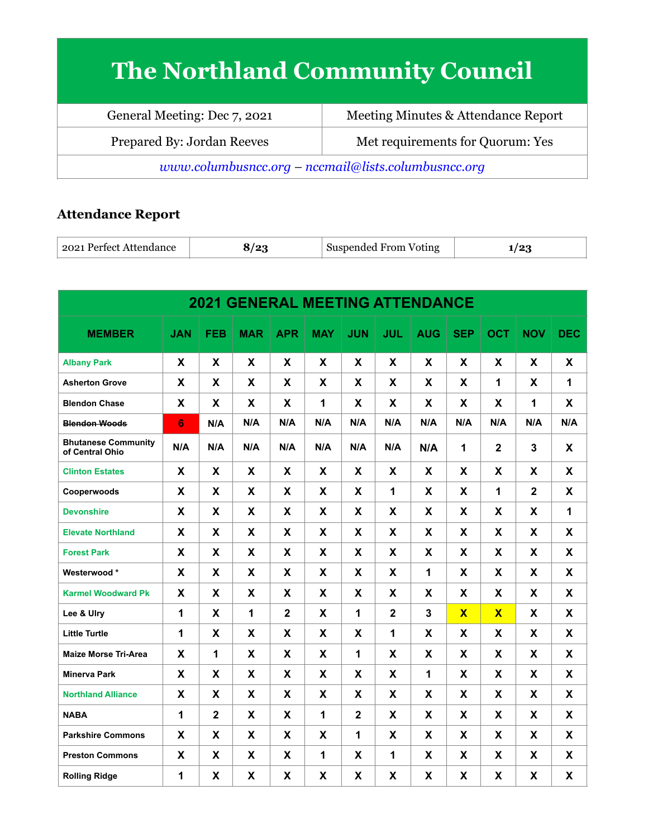## **The Northland Community Council**

| General Meeting: Dec 7, 2021                          | Meeting Minutes & Attendance Report |  |  |  |  |  |
|-------------------------------------------------------|-------------------------------------|--|--|--|--|--|
| Prepared By: Jordan Reeves                            | Met requirements for Quorum: Yes    |  |  |  |  |  |
| $www.columbusncc.org - nccmail@lists.columbusncc.org$ |                                     |  |  |  |  |  |

## **Attendance Report**

| .ect Attendance<br>$\sqrt{2021}$<br>$\sqrt{2}$<br>Pertect<br>Suspended From | Voting<br>. . |
|-----------------------------------------------------------------------------|---------------|
|-----------------------------------------------------------------------------|---------------|

| <b>2021 GENERAL MEETING ATTENDANCE</b>        |            |             |              |                |            |              |                |            |                         |                         |             |            |
|-----------------------------------------------|------------|-------------|--------------|----------------|------------|--------------|----------------|------------|-------------------------|-------------------------|-------------|------------|
| <b>MEMBER</b>                                 | <b>JAN</b> | <b>FEB</b>  | <b>MAR</b>   | <b>APR</b>     | <b>MAY</b> | <b>JUN</b>   | <b>JUL</b>     | <b>AUG</b> | <b>SEP</b>              | <b>OCT</b>              | <b>NOV</b>  | <b>DEC</b> |
| <b>Albany Park</b>                            | X          | X           | X            | X              | X          | X            | X              | X          | X                       | X                       | X           | X          |
| <b>Asherton Grove</b>                         | X          | X           | X            | X              | X          | X            | X              | X          | X                       | 1                       | X           | 1          |
| <b>Blendon Chase</b>                          | X          | X           | X            | X              | 1          | X            | X              | X          | X                       | X                       | 1           | X          |
| <b>Blendon Woods</b>                          | 6          | N/A         | N/A          | N/A            | N/A        | N/A          | N/A            | N/A        | N/A                     | N/A                     | N/A         | N/A        |
| <b>Bhutanese Community</b><br>of Central Ohio | N/A        | N/A         | N/A          | N/A            | N/A        | N/A          | N/A            | N/A        | 1                       | $\overline{2}$          | 3           | X          |
| <b>Clinton Estates</b>                        | X          | X           | X            | X              | X          | X            | X              | X          | X                       | X                       | X           | X          |
| Cooperwoods                                   | X          | X           | X            | X              | X          | X            | $\mathbf{1}$   | X          | X                       | 1                       | $\mathbf 2$ | X          |
| <b>Devonshire</b>                             | X          | X           | X            | X              | X          | X            | X              | X          | X                       | X                       | X           | 1          |
| <b>Elevate Northland</b>                      | X          | X           | X            | X              | X          | X            | X              | X          | X                       | X                       | X           | X          |
| <b>Forest Park</b>                            | X          | X           | X            | X              | X          | X            | X              | X          | X                       | X                       | X           | X          |
| Westerwood*                                   | X          | X           | X            | X              | X          | X            | X              | 1          | Χ                       | X                       | X           | X          |
| <b>Karmel Woodward Pk</b>                     | X          | X           | X            | X              | X          | X            | X.             | X          | X                       | X                       | X           | X          |
| Lee & Ulry                                    | 1          | X           | $\mathbf{1}$ | $\overline{2}$ | X          | 1            | $\overline{2}$ | 3          | $\overline{\mathbf{X}}$ | $\overline{\mathbf{x}}$ | X           | X          |
| <b>Little Turtle</b>                          | 1          | X.          | X            | X              | X          | X            | $\mathbf{1}$   | X          | X                       | X                       | X.          | X          |
| <b>Maize Morse Tri-Area</b>                   | X          | 1           | X            | X              | X          | 1            | X              | X          | X                       | X                       | X           | X          |
| <b>Minerva Park</b>                           | X          | X           | X            | X              | X          | X            | X              | 1          | X                       | X                       | X           | X          |
| <b>Northland Alliance</b>                     | X          | X           | X            | X              | X          | X            | X              | X          | X                       | X                       | X           | X          |
| <b>NABA</b>                                   | 1          | $\mathbf 2$ | X            | X              | 1          | $\mathbf{2}$ | X              | X          | X                       | X                       | X           | X          |
| <b>Parkshire Commons</b>                      | X          | X           | X            | X              | X          | 1            | X              | X          | X                       | X                       | X           | X          |
| <b>Preston Commons</b>                        | X          | X           | X            | X              | 1          | X            | $\mathbf{1}$   | X          | X                       | X                       | X           | X          |
| <b>Rolling Ridge</b>                          | 1          | X           | X            | X              | X          | X            | X              | X          | X                       | X                       | X           | X          |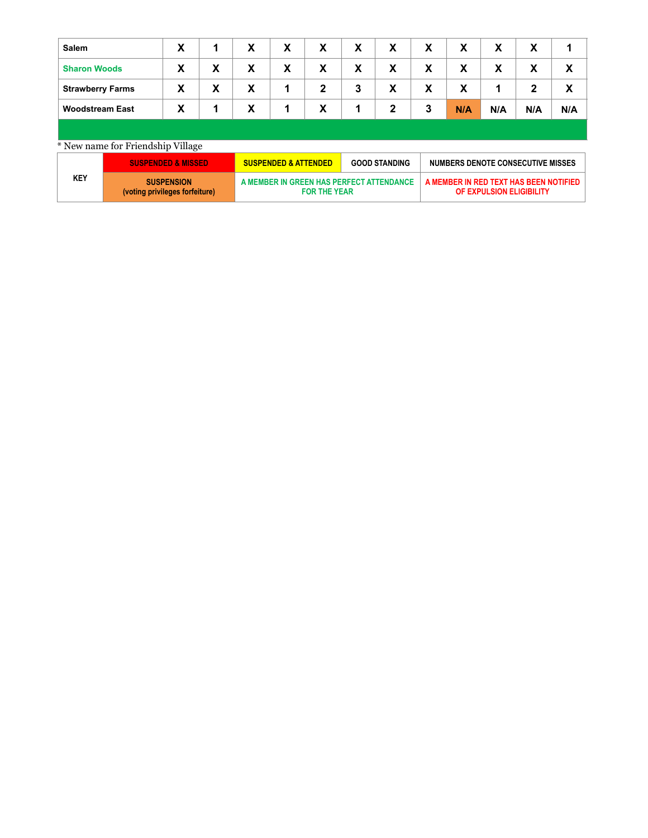| <b>Salem</b>            | X |   | X | X | X              | X | X            | X | X   | X   | X   |     |
|-------------------------|---|---|---|---|----------------|---|--------------|---|-----|-----|-----|-----|
| <b>Sharon Woods</b>     | X | X | X | X | X              | X | X            | X | X   | X   | X   | X   |
| <b>Strawberry Farms</b> | X | X | X |   | $\mathbf{2}$   | 3 | X            | X | X   |     | າ   | X   |
| <b>Woodstream East</b>  | X |   | X |   | v<br>$\lambda$ |   | $\mathbf{2}$ | 3 | N/A | N/A | N/A | N/A |
|                         |   |   |   |   |                |   |              |   |     |     |     |     |

## \* New name for Friendship Village

|     | <b>SUSPENDED &amp; MISSED</b>                       | <b>SUSPENDED &amp; ATTENDED</b>                                 | <b>GOOD STANDING</b> | NUMBERS DENOTE CONSECUTIVE MISSES                                  |
|-----|-----------------------------------------------------|-----------------------------------------------------------------|----------------------|--------------------------------------------------------------------|
| KEY | <b>SUSPENSION</b><br>(voting privileges forfeiture) | A MEMBER IN GREEN HAS PERFECT ATTENDANCE<br><b>FOR THE YEAR</b> |                      | A MEMBER IN RED TEXT HAS BEEN NOTIFIED<br>OF EXPULSION ELIGIBILITY |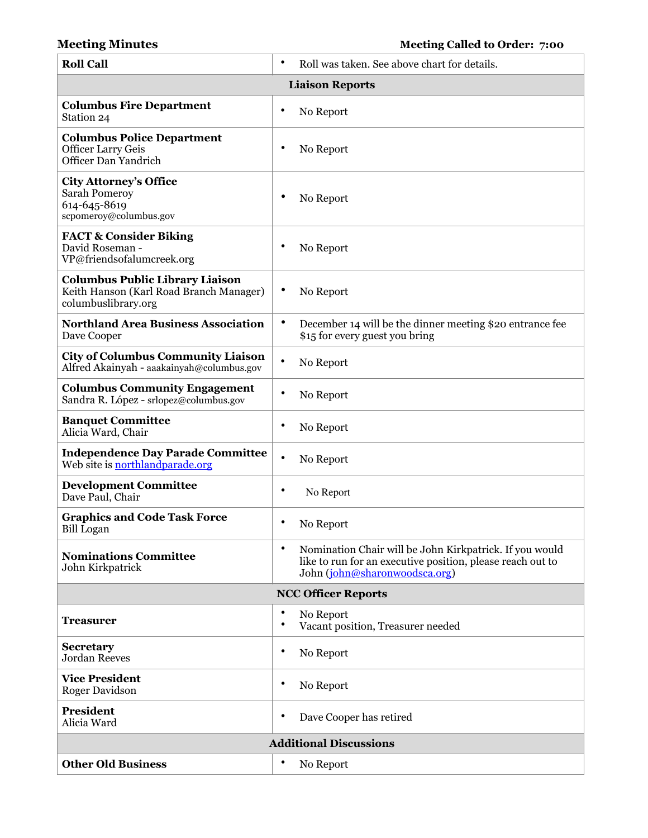| <b>Roll Call</b>                                                                                         | $\bullet$<br>Roll was taken. See above chart for details.                                                                                                           |  |  |  |  |  |
|----------------------------------------------------------------------------------------------------------|---------------------------------------------------------------------------------------------------------------------------------------------------------------------|--|--|--|--|--|
| <b>Liaison Reports</b>                                                                                   |                                                                                                                                                                     |  |  |  |  |  |
| <b>Columbus Fire Department</b><br>Station 24                                                            | $\bullet$<br>No Report                                                                                                                                              |  |  |  |  |  |
| <b>Columbus Police Department</b><br><b>Officer Larry Geis</b><br>Officer Dan Yandrich                   | ٠<br>No Report                                                                                                                                                      |  |  |  |  |  |
| <b>City Attorney's Office</b><br><b>Sarah Pomeroy</b><br>614-645-8619<br>scpomeroy@columbus.gov          | ٠<br>No Report                                                                                                                                                      |  |  |  |  |  |
| <b>FACT &amp; Consider Biking</b><br>David Roseman -<br>VP@friendsofalumcreek.org                        | ٠<br>No Report                                                                                                                                                      |  |  |  |  |  |
| <b>Columbus Public Library Liaison</b><br>Keith Hanson (Karl Road Branch Manager)<br>columbuslibrary.org | $\bullet$<br>No Report                                                                                                                                              |  |  |  |  |  |
| <b>Northland Area Business Association</b><br>Dave Cooper                                                | $\bullet$<br>December 14 will be the dinner meeting \$20 entrance fee<br>\$15 for every guest you bring                                                             |  |  |  |  |  |
| <b>City of Columbus Community Liaison</b><br>Alfred Akainyah - aaakainyah@columbus.gov                   | $\bullet$<br>No Report                                                                                                                                              |  |  |  |  |  |
| <b>Columbus Community Engagement</b><br>Sandra R. López - srlopez@columbus.gov                           | $\bullet$<br>No Report                                                                                                                                              |  |  |  |  |  |
| <b>Banquet Committee</b><br>Alicia Ward, Chair                                                           | ٠<br>No Report                                                                                                                                                      |  |  |  |  |  |
| <b>Independence Day Parade Committee</b><br>Web site is northlandparade.org                              | $\bullet$<br>No Report                                                                                                                                              |  |  |  |  |  |
| <b>Development Committee</b><br>Dave Paul, Chair                                                         | $\bullet$<br>No Report                                                                                                                                              |  |  |  |  |  |
| <b>Graphics and Code Task Force</b><br><b>Bill Logan</b>                                                 | ٠<br>No Report                                                                                                                                                      |  |  |  |  |  |
| <b>Nominations Committee</b><br>John Kirkpatrick                                                         | $\bullet$<br>Nomination Chair will be John Kirkpatrick. If you would<br>like to run for an executive position, please reach out to<br>John (john@sharonwoodsca.org) |  |  |  |  |  |
|                                                                                                          | <b>NCC Officer Reports</b>                                                                                                                                          |  |  |  |  |  |
| Treasurer                                                                                                | ٠<br>No Report<br>$\bullet$<br>Vacant position, Treasurer needed                                                                                                    |  |  |  |  |  |
| <b>Secretary</b><br><b>Jordan Reeves</b>                                                                 | $\bullet$<br>No Report                                                                                                                                              |  |  |  |  |  |
| <b>Vice President</b><br><b>Roger Davidson</b>                                                           | $\bullet$<br>No Report                                                                                                                                              |  |  |  |  |  |
| <b>President</b><br>Alicia Ward                                                                          | ٠<br>Dave Cooper has retired                                                                                                                                        |  |  |  |  |  |
| <b>Additional Discussions</b>                                                                            |                                                                                                                                                                     |  |  |  |  |  |
| <b>Other Old Business</b>                                                                                | ٠<br>No Report                                                                                                                                                      |  |  |  |  |  |